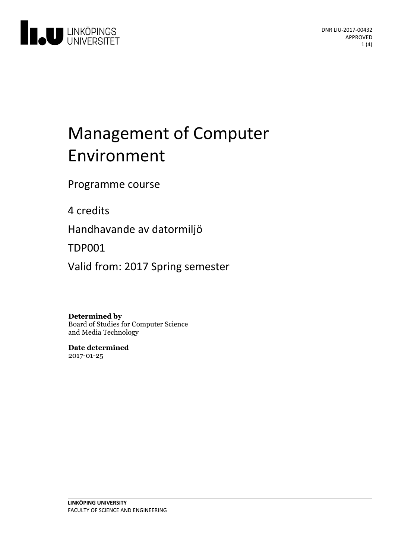

# Management of Computer Environment

Programme course

4 credits

Handhavande av datormiljö

TDP001

Valid from: 2017 Spring semester

**Determined by**

Board of Studies for Computer Science and Media Technology

**Date determined** 2017-01-25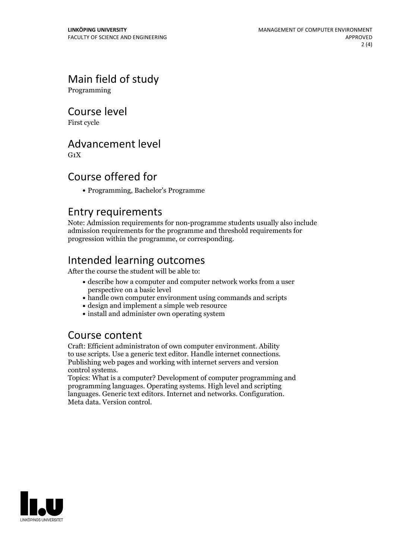# Main field of study

Programming

#### Course level

First cycle

## Advancement level

 $G_1X$ 

## Course offered for

Programming, Bachelor's Programme

#### Entry requirements

Note: Admission requirements for non-programme students usually also include admission requirements for the programme and threshold requirements for progression within the programme, or corresponding.

# Intended learning outcomes

After the course the student will be able to:

- describe how a computer and computer network works from a user perspective on a basic level
- handle own computer environment using commands and scripts
- design and implement a simple web resource
- install and administer own operating system

# Course content

Craft: Efficient administraton of own computer environment. Ability to use scripts. Use a generic text editor. Handle internet connections. Publishing web pages and working with internet servers and version

control systems. Topics: What is <sup>a</sup> computer? Development of computer programming and programming languages. Operating systems. High level and scripting languages. Generic text editors. Internet and networks. Configuration. Meta data. Version control.

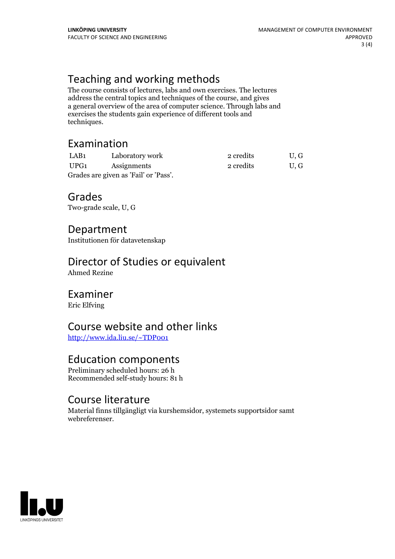# Teaching and working methods

The course consists of lectures, labs and own exercises. The lectures address the central topics and techniques of the course, and gives a general overview of the area of computer science. Through labs and exercises the students gain experience of different tools and techniques.

## Examination

| LAB1                                  | Laboratory work | 2 credits | U.G |
|---------------------------------------|-----------------|-----------|-----|
| UPG1                                  | Assignments     | 2 credits | U.G |
| Grades are given as 'Fail' or 'Pass'. |                 |           |     |

#### Grades

Two-grade scale, U, G

Department

Institutionen för datavetenskap

## Director of Studies or equivalent

Ahmed Rezine

#### Examiner

Eric Elfving

## Course website and other links

<http://www.ida.liu.se/~TDP001>

## Education components

Preliminary scheduled hours: 26 h Recommended self-study hours: 81 h

# Course literature

Material finns tillgängligt via kurshemsidor, systemets supportsidor samt webreferenser.